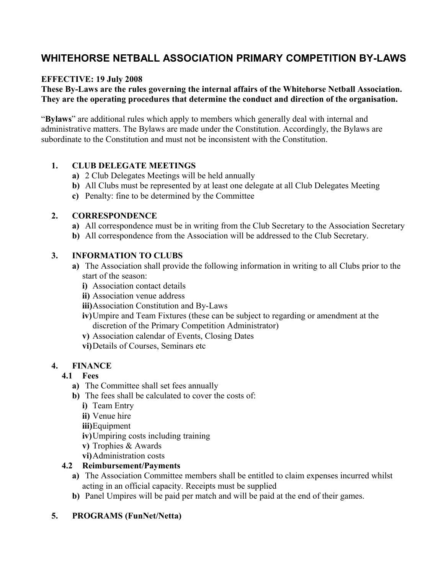# **WHITEHORSE NETBALL ASSOCIATION PRIMARY COMPETITION BY-LAWS**

### **EFFECTIVE: 19 July 2008**

### **These By-Laws are the rules governing the internal affairs of the Whitehorse Netball Association. They are the operating procedures that determine the conduct and direction of the organisation.**

"**Bylaws**" are additional rules which apply to members which generally deal with internal and administrative matters. The Bylaws are made under the Constitution. Accordingly, the Bylaws are subordinate to the Constitution and must not be inconsistent with the Constitution.

### **1. CLUB DELEGATE MEETINGS**

- **a)** 2 Club Delegates Meetings will be held annually
- **b)** All Clubs must be represented by at least one delegate at all Club Delegates Meeting
- **c)** Penalty: fine to be determined by the Committee

#### **2. CORRESPONDENCE**

- **a)** All correspondence must be in writing from the Club Secretary to the Association Secretary
- **b)** All correspondence from the Association will be addressed to the Club Secretary.

#### **3. INFORMATION TO CLUBS**

- **a)** The Association shall provide the following information in writing to all Clubs prior to the start of the season:
	- **i)** Association contact details
	- **ii)** Association venue address
	- **iii)**Association Constitution and By-Laws
	- **iv)**Umpire and Team Fixtures (these can be subject to regarding or amendment at the discretion of the Primary Competition Administrator)
	- **v)** Association calendar of Events, Closing Dates
	- **vi)**Details of Courses, Seminars etc

#### **4. FINANCE**

### **4.1 Fees**

- **a)** The Committee shall set fees annually
- **b**) The fees shall be calculated to cover the costs of:
	- **i)** Team Entry
	- **ii)** Venue hire
	- **iii)**Equipment
	- **iv)**Umpiring costs including training
	- **v)** Trophies & Awards
	- **vi)**Administration costs

### **4.2 Reimbursement/Payments**

- **a)** The Association Committee members shall be entitled to claim expenses incurred whilst acting in an official capacity. Receipts must be supplied
- **b)** Panel Umpires will be paid per match and will be paid at the end of their games.

### **5. PROGRAMS (FunNet/Netta)**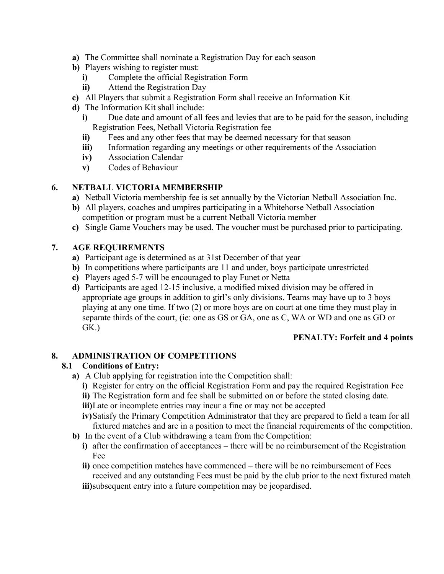- **a)** The Committee shall nominate a Registration Day for each season
- **b)** Players wishing to register must:
	- **i)** Complete the official Registration Form
	- **ii)** Attend the Registration Day
- **c)** All Players that submit a Registration Form shall receive an Information Kit
- **d)** The Information Kit shall include:
	- **i)** Due date and amount of all fees and levies that are to be paid for the season, including Registration Fees, Netball Victoria Registration fee
	- **ii)** Fees and any other fees that may be deemed necessary for that season
	- **iii)** Information regarding any meetings or other requirements of the Association
	- **iv)** Association Calendar
	- **v)** Codes of Behaviour

# **6. NETBALL VICTORIA MEMBERSHIP**

- **a)** Netball Victoria membership fee is set annually by the Victorian Netball Association Inc.
- **b)** All players, coaches and umpires participating in a Whitehorse Netball Association competition or program must be a current Netball Victoria member
- **c)** Single Game Vouchers may be used. The voucher must be purchased prior to participating.

# **7. AGE REQUIREMENTS**

- **a)** Participant age is determined as at 31st December of that year
- **b**) In competitions where participants are 11 and under, boys participate unrestricted
- **c)** Players aged 5-7 will be encouraged to play Funet or Netta
- **d)** Participants are aged 12-15 inclusive, a modified mixed division may be offered in appropriate age groups in addition to girl's only divisions. Teams may have up to 3 boys playing at any one time. If two (2) or more boys are on court at one time they must play in separate thirds of the court, (ie: one as GS or GA, one as C, WA or WD and one as GD or GK.)

### **PENALTY: Forfeit and 4 points**

# **8. ADMINISTRATION OF COMPETITIONS**

### **8.1 Conditions of Entry:**

- **a)** A Club applying for registration into the Competition shall:
	- **i)** Register for entry on the official Registration Form and pay the required Registration Fee
	- **ii)** The Registration form and fee shall be submitted on or before the stated closing date.
	- **iii)**Late or incomplete entries may incur a fine or may not be accepted
	- **iv)**Satisfy the Primary Competition Administrator that they are prepared to field a team for all fixtured matches and are in a position to meet the financial requirements of the competition.
- **b)** In the event of a Club withdrawing a team from the Competition:
	- **i)** after the confirmation of acceptances there will be no reimbursement of the Registration Fee
	- **ii)** once competition matches have commenced there will be no reimbursement of Fees received and any outstanding Fees must be paid by the club prior to the next fixtured match
	- **iii**)subsequent entry into a future competition may be jeopardised.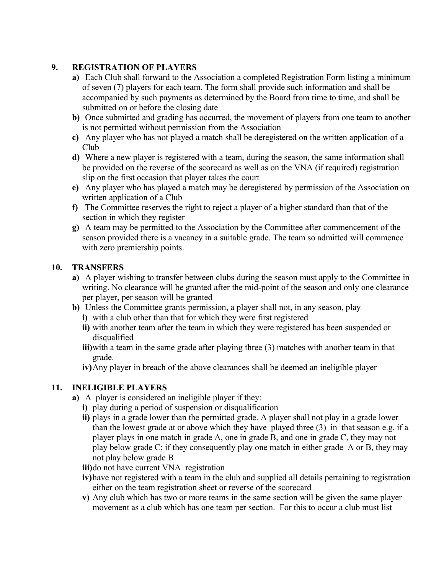### **9. REGISTRATION OF PLAYERS**

- **a)** Each Club shall forward to the Association a completed Registration Form listing a minimum of seven (7) players for each team. The form shall provide such information and shall be accompanied by such payments as determined by the Board from time to time, and shall be submitted on or before the closing date
- **b)** Once submitted and grading has occurred, the movement of players from one team to another is not permitted without permission from the Association
- **c)** Any player who has not played a match shall be deregistered on the written application of a Club
- **d)** Where a new player is registered with a team, during the season, the same information shall be provided on the reverse of the scorecard as well as on the VNA (if required) registration slip on the first occasion that player takes the court
- **e)** Any player who has played a match may be deregistered by permission of the Association on written application of a Club
- **f)** The Committee reserves the right to reject a player of a higher standard than that of the section in which they register
- **g)** A team may be permitted to the Association by the Committee after commencement of the season provided there is a vacancy in a suitable grade. The team so admitted will commence with zero premiership points.

### **10. TRANSFERS**

- **a)** A player wishing to transfer between clubs during the season must apply to the Committee in writing. No clearance will be granted after the mid-point of the season and only one clearance per player, per season will be granted
- **b)** Unless the Committee grants permission, a player shall not, in any season, play
	- **i)** with a club other than that for which they were first registered
	- **ii)** with another team after the team in which they were registered has been suspended or disqualified
	- **iii)**with a team in the same grade after playing three (3) matches with another team in that grade.
	- **iv)**Any player in breach of the above clearances shall be deemed an ineligible player

# **11. INELIGIBLE PLAYERS**

- **a)** A player is considered an ineligible player if they:
	- **i)** play during a period of suspension or disqualification
	- **ii)** plays in a grade lower than the permitted grade. A player shall not play in a grade lower than the lowest grade at or above which they have played three (3) in that season e.g. if a player plays in one match in grade A, one in grade B, and one in grade C, they may not play below grade C; if they consequently play one match in either grade A or B, they may not play below grade B
	- **iii)**do not have current VNA registration
	- **iv)**have not registered with a team in the club and supplied all details pertaining to registration either on the team registration sheet or reverse of the scorecard
	- **v)** Any club which has two or more teams in the same section will be given the same player movement as a club which has one team per section. For this to occur a club must list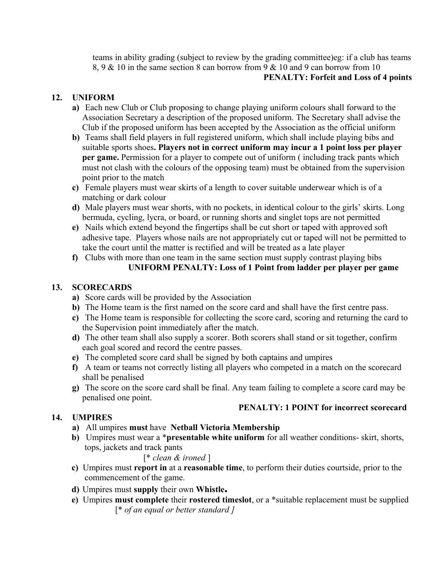teams in ability grading (subject to review by the grading committee)eg: if a club has teams 8, 9 & 10 in the same section 8 can borrow from 9 & 10 and 9 can borrow from 10  **PENALTY: Forfeit and Loss of 4 points**

### **12. UNIFORM**

- **a)** Each new Club or Club proposing to change playing uniform colours shall forward to the Association Secretary a description of the proposed uniform. The Secretary shall advise the Club if the proposed uniform has been accepted by the Association as the official uniform
- **b)** Teams shall field players in full registered uniform, which shall include playing bibs and suitable sports shoes**. Players not in correct uniform may incur a 1 point loss per player per game.** Permission for a player to compete out of uniform ( including track pants which must not clash with the colours of the opposing team) must be obtained from the supervision point prior to the match
- **c)** Female players must wear skirts of a length to cover suitable underwear which is of a matching or dark colour
- **d)** Male players must wear shorts, with no pockets, in identical colour to the girls' skirts. Long bermuda, cycling, lycra, or board, or running shorts and singlet tops are not permitted
- **e)** Nails which extend beyond the fingertips shall be cut short or taped with approved soft adhesive tape. Players whose nails are not appropriately cut or taped will not be permitted to take the court until the matter is rectified and will be treated as a late player
- **f)** Clubs with more than one team in the same section must supply contrast playing bibs  **UNIFORM PENALTY: Loss of 1 Point from ladder per player per game**

### **13. SCORECARDS**

- **a)** Score cards will be provided by the Association
- **b)** The Home team is the first named on the score card and shall have the first centre pass.
- **c)** The Home team is responsible for collecting the score card, scoring and returning the card to the Supervision point immediately after the match.
- **d)** The other team shall also supply a scorer. Both scorers shall stand or sit together, confirm each goal scored and record the centre passes.
- **e)** The completed score card shall be signed by both captains and umpires
- **f)** A team or teams not correctly listing all players who competed in a match on the scorecard shall be penalised
- **g)** The score on the score card shall be final. Any team failing to complete a score card may be penalised one point.

 **PENALTY: 1 POINT for incorrect scorecard**

# **14. UMPIRES**

- 
- **a)** All umpires **must** have **Netball Victoria Membership**
- **b)** Umpires must wear a \***presentable white uniform** for all weather conditions- skirt, shorts, tops, jackets and track pants

### [\* *clean & ironed* ]

- **c)** Umpires must **report in** at a **reasonable time**, to perform their duties courtside, prior to the commencement of the game.
- **d)** Umpires must **supply** their own **Whistle.**
- **e)** Umpires **must complete** their **rostered timeslot**, or a \*suitable replacement must be supplied [\* *of an equal or better standard ]*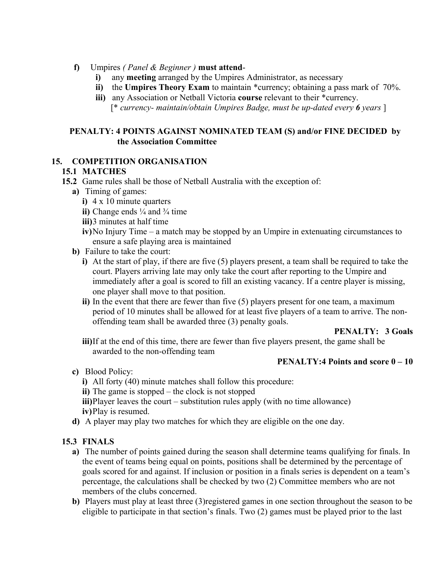- **f)** Umpires *( Panel & Beginner )* **must attend**
	- **i)** any **meeting** arranged by the Umpires Administrator, as necessary
	- **ii)** the **Umpires Theory Exam** to maintain \*currency; obtaining a pass mark of 70%.
	- **iii)** any Association or Netball Victoria **course** relevant to their \*currency.
		- [\* *currency- maintain/obtain Umpires Badge, must be up-dated every 6 years* ]

### **PENALTY: 4 POINTS AGAINST NOMINATED TEAM (S) and/or FINE DECIDED by the Association Committee**

#### **15. COMPETITION ORGANISATION**

### **15.1 MATCHES**

- **15.2** Game rules shall be those of Netball Australia with the exception of:
	- **a)** Timing of games:
		- **i)** 4 x 10 minute quarters
		- **ii)** Change ends  $\frac{1}{4}$  and  $\frac{3}{4}$  time
		- **iii)**3 minutes at half time
		- **iv)**No Injury Time a match may be stopped by an Umpire in extenuating circumstances to ensure a safe playing area is maintained
	- **b)** Failure to take the court:
		- **i)** At the start of play, if there are five (5) players present, a team shall be required to take the court. Players arriving late may only take the court after reporting to the Umpire and immediately after a goal is scored to fill an existing vacancy. If a centre player is missing, one player shall move to that position.
		- **ii)** In the event that there are fewer than five (5) players present for one team, a maximum period of 10 minutes shall be allowed for at least five players of a team to arrive. The nonoffending team shall be awarded three (3) penalty goals.

### **PENALTY: 3 Goals**

**iii)**If at the end of this time, there are fewer than five players present, the game shall be awarded to the non-offending team

#### **PENALTY:4 Points and score 0 – 10**

- **c)** Blood Policy:
	- **i)** All forty (40) minute matches shall follow this procedure:
	- **ii)** The game is stopped the clock is not stopped
	- **iii**)Player leaves the court substitution rules apply (with no time allowance) **iv)**Play is resumed.
- **d)** A player may play two matches for which they are eligible on the one day.

### **15.3 FINALS**

- **a)** The number of points gained during the season shall determine teams qualifying for finals. In the event of teams being equal on points, positions shall be determined by the percentage of goals scored for and against. If inclusion or position in a finals series is dependent on a team's percentage, the calculations shall be checked by two (2) Committee members who are not members of the clubs concerned.
- **b)** Players must play at least three (3) registered games in one section throughout the season to be eligible to participate in that section's finals. Two (2) games must be played prior to the last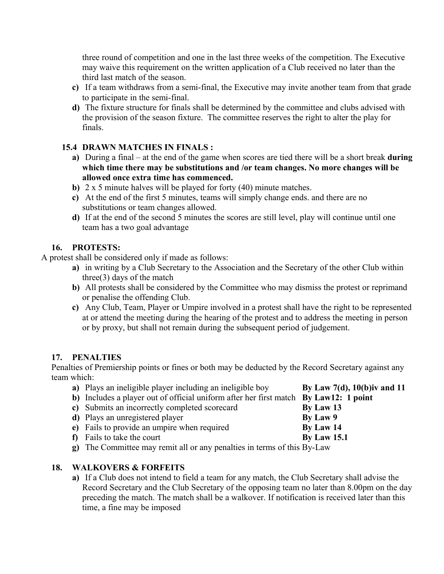three round of competition and one in the last three weeks of the competition. The Executive may waive this requirement on the written application of a Club received no later than the third last match of the season.

- **c)** If a team withdraws from a semi-final, the Executive may invite another team from that grade to participate in the semi-final.
- **d)** The fixture structure for finals shall be determined by the committee and clubs advised with the provision of the season fixture. The committee reserves the right to alter the play for finals.

### **15.4 DRAWN MATCHES IN FINALS :**

- **a)** During a final at the end of the game when scores are tied there will be a short break **during which time there may be substitutions and /or team changes. No more changes will be allowed once extra time has commenced.**
- **b)** 2 x 5 minute halves will be played for forty (40) minute matches.
- **c)** At the end of the first 5 minutes, teams will simply change ends. and there are no substitutions or team changes allowed.
- **d)** If at the end of the second 5 minutes the scores are still level, play will continue until one team has a two goal advantage

### **16. PROTESTS:**

A protest shall be considered only if made as follows:

- **a)** in writing by a Club Secretary to the Association and the Secretary of the other Club within three(3) days of the match
- **b)** All protests shall be considered by the Committee who may dismiss the protest or reprimand or penalise the offending Club.
- **c)** Any Club, Team, Player or Umpire involved in a protest shall have the right to be represented at or attend the meeting during the hearing of the protest and to address the meeting in person or by proxy, but shall not remain during the subsequent period of judgement.

### **17. PENALTIES**

Penalties of Premiership points or fines or both may be deducted by the Record Secretary against any team which:

| a) Plays an ineligible player including an ineligible boy                            | By Law $7(d)$ , $10(b)$ iv and 11 |
|--------------------------------------------------------------------------------------|-----------------------------------|
| b) Includes a player out of official uniform after her first match By Law12: 1 point |                                   |
| c) Submits an incorrectly completed scorecard                                        | By Law 13                         |
| d) Plays an unregistered player                                                      | By Law 9                          |
| e) Fails to provide an umpire when required                                          | By Law 14                         |
| <b>f</b> ) Fails to take the court                                                   | <b>By Law 15.1</b>                |
| $\sigma$ ). The Committee may remit all or any penalties in terms of this $R_V$ I aw |                                   |

**g)** The Committee may remit all or any penalties in terms of this By-Law

# **18. WALKOVERS & FORFEITS**

**a)** If a Club does not intend to field a team for any match, the Club Secretary shall advise the Record Secretary and the Club Secretary of the opposing team no later than 8.00pm on the day preceding the match. The match shall be a walkover. If notification is received later than this time, a fine may be imposed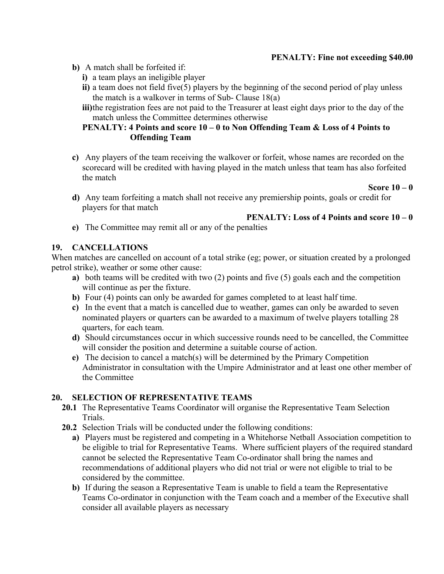### **PENALTY: Fine not exceeding \$40.00**

- **b)** A match shall be forfeited if:
	- **i)** a team plays an ineligible player
	- **ii)** a team does not field five(5) players by the beginning of the second period of play unless the match is a walkover in terms of Sub- Clause 18(a)
	- **iii)**the registration fees are not paid to the Treasurer at least eight days prior to the day of the match unless the Committee determines otherwise

### **PENALTY: 4 Points and score 10 – 0 to Non Offending Team & Loss of 4 Points to Offending Team**

**c)** Any players of the team receiving the walkover or forfeit, whose names are recorded on the scorecard will be credited with having played in the match unless that team has also forfeited the match

#### **Score 10 – 0**

**d)** Any team forfeiting a match shall not receive any premiership points, goals or credit for players for that match

### **PENALTY: Loss of 4 Points and score 10 – 0**

**e)** The Committee may remit all or any of the penalties

#### **19. CANCELLATIONS**

When matches are cancelled on account of a total strike (eg; power, or situation created by a prolonged petrol strike), weather or some other cause:

- **a)** both teams will be credited with two (2) points and five (5) goals each and the competition will continue as per the fixture.
- **b)** Four (4) points can only be awarded for games completed to at least half time.
- **c)** In the event that a match is cancelled due to weather, games can only be awarded to seven nominated players or quarters can be awarded to a maximum of twelve players totalling 28 quarters, for each team.
- **d)** Should circumstances occur in which successive rounds need to be cancelled, the Committee will consider the position and determine a suitable course of action.
- **e)** The decision to cancel a match(s) will be determined by the Primary Competition Administrator in consultation with the Umpire Administrator and at least one other member of the Committee

### **20. SELECTION OF REPRESENTATIVE TEAMS**

- **20.1** The Representative Teams Coordinator will organise the Representative Team Selection Trials.
- **20.2** Selection Trials will be conducted under the following conditions:
	- **a)** Players must be registered and competing in a Whitehorse Netball Association competition to be eligible to trial for Representative Teams. Where sufficient players of the required standard cannot be selected the Representative Team Co-ordinator shall bring the names and recommendations of additional players who did not trial or were not eligible to trial to be considered by the committee.
	- **b)** If during the season a Representative Team is unable to field a team the Representative Teams Co-ordinator in conjunction with the Team coach and a member of the Executive shall consider all available players as necessary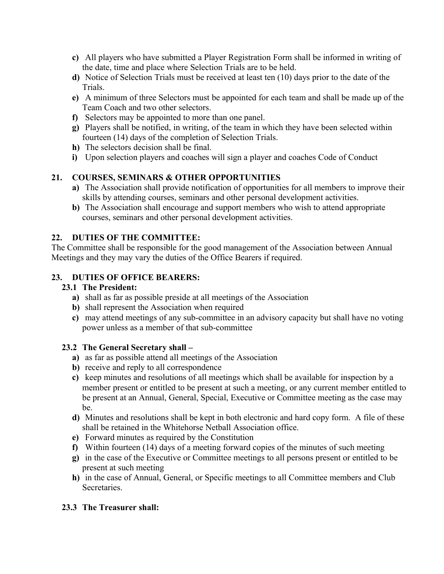- **c)** All players who have submitted a Player Registration Form shall be informed in writing of the date, time and place where Selection Trials are to be held.
- **d)** Notice of Selection Trials must be received at least ten (10) days prior to the date of the Trials.
- **e)** A minimum of three Selectors must be appointed for each team and shall be made up of the Team Coach and two other selectors.
- **f)** Selectors may be appointed to more than one panel.
- **g)** Players shall be notified, in writing, of the team in which they have been selected within fourteen (14) days of the completion of Selection Trials.
- **h)** The selectors decision shall be final.
- **i)** Upon selection players and coaches will sign a player and coaches Code of Conduct

# **21. COURSES, SEMINARS & OTHER OPPORTUNITIES**

- **a)** The Association shall provide notification of opportunities for all members to improve their skills by attending courses, seminars and other personal development activities.
- **b)** The Association shall encourage and support members who wish to attend appropriate courses, seminars and other personal development activities.

### **22. DUTIES OF THE COMMITTEE:**

The Committee shall be responsible for the good management of the Association between Annual Meetings and they may vary the duties of the Office Bearers if required.

### **23. DUTIES OF OFFICE BEARERS:**

### **23.1 The President:**

- **a)** shall as far as possible preside at all meetings of the Association
- **b)** shall represent the Association when required
- **c)** may attend meetings of any sub-committee in an advisory capacity but shall have no voting power unless as a member of that sub-committee

### **23.2 The General Secretary shall –**

- **a)** as far as possible attend all meetings of the Association
- **b)** receive and reply to all correspondence
- **c)** keep minutes and resolutions of all meetings which shall be available for inspection by a member present or entitled to be present at such a meeting, or any current member entitled to be present at an Annual, General, Special, Executive or Committee meeting as the case may be.
- **d)** Minutes and resolutions shall be kept in both electronic and hard copy form. A file of these shall be retained in the Whitehorse Netball Association office.
- **e)** Forward minutes as required by the Constitution
- **f)** Within fourteen (14) days of a meeting forward copies of the minutes of such meeting
- **g)** in the case of the Executive or Committee meetings to all persons present or entitled to be present at such meeting
- **h)** in the case of Annual, General, or Specific meetings to all Committee members and Club Secretaries.

# **23.3 The Treasurer shall:**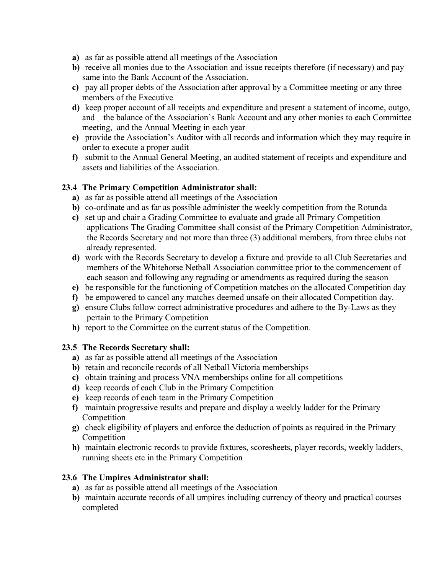- **a)** as far as possible attend all meetings of the Association
- **b)** receive all monies due to the Association and issue receipts therefore (if necessary) and pay same into the Bank Account of the Association.
- **c)** pay all proper debts of the Association after approval by a Committee meeting or any three members of the Executive
- **d)** keep proper account of all receipts and expenditure and present a statement of income, outgo, and the balance of the Association's Bank Account and any other monies to each Committee meeting, and the Annual Meeting in each year
- **e)** provide the Association's Auditor with all records and information which they may require in order to execute a proper audit
- **f)** submit to the Annual General Meeting, an audited statement of receipts and expenditure and assets and liabilities of the Association.

### **23.4 The Primary Competition Administrator shall:**

- **a)** as far as possible attend all meetings of the Association
- **b)** co-ordinate and as far as possible administer the weekly competition from the Rotunda
- **c)** set up and chair a Grading Committee to evaluate and grade all Primary Competition applications The Grading Committee shall consist of the Primary Competition Administrator, the Records Secretary and not more than three (3) additional members, from three clubs not already represented.
- **d)** work with the Records Secretary to develop a fixture and provide to all Club Secretaries and members of the Whitehorse Netball Association committee prior to the commencement of each season and following any regrading or amendments as required during the season
- **e)** be responsible for the functioning of Competition matches on the allocated Competition day
- **f)** be empowered to cancel any matches deemed unsafe on their allocated Competition day.
- **g)** ensure Clubs follow correct administrative procedures and adhere to the By-Laws as they pertain to the Primary Competition
- **h)** report to the Committee on the current status of the Competition.

### **23.5 The Records Secretary shall:**

- **a)** as far as possible attend all meetings of the Association
- **b)** retain and reconcile records of all Netball Victoria memberships
- **c)** obtain training and process VNA memberships online for all competitions
- **d)** keep records of each Club in the Primary Competition
- **e)** keep records of each team in the Primary Competition
- **f)** maintain progressive results and prepare and display a weekly ladder for the Primary Competition
- **g)** check eligibility of players and enforce the deduction of points as required in the Primary Competition
- **h)** maintain electronic records to provide fixtures, scoresheets, player records, weekly ladders, running sheets etc in the Primary Competition

### **23.6 The Umpires Administrator shall:**

- **a)** as far as possible attend all meetings of the Association
- **b)** maintain accurate records of all umpires including currency of theory and practical courses completed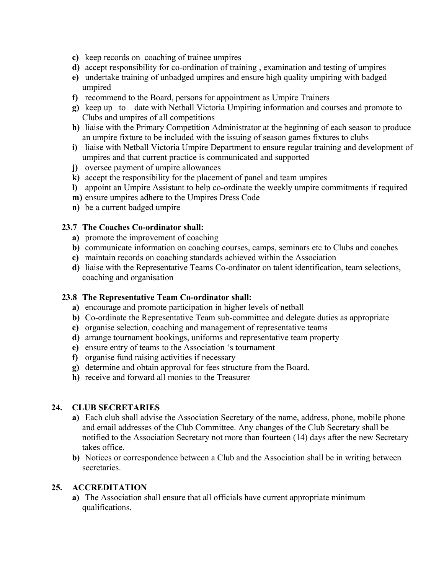- **c)** keep records on coaching of trainee umpires
- **d)** accept responsibility for co-ordination of training , examination and testing of umpires
- **e)** undertake training of unbadged umpires and ensure high quality umpiring with badged umpired
- **f)** recommend to the Board, persons for appointment as Umpire Trainers
- **g)** keep up –to date with Netball Victoria Umpiring information and courses and promote to Clubs and umpires of all competitions
- **h)** liaise with the Primary Competition Administrator at the beginning of each season to produce an umpire fixture to be included with the issuing of season games fixtures to clubs
- **i)** liaise with Netball Victoria Umpire Department to ensure regular training and development of umpires and that current practice is communicated and supported
- **j)** oversee payment of umpire allowances
- **k)** accept the responsibility for the placement of panel and team umpires
- **l)** appoint an Umpire Assistant to help co-ordinate the weekly umpire commitments if required
- **m)** ensure umpires adhere to the Umpires Dress Code
- **n)** be a current badged umpire

#### **23.7 The Coaches Co-ordinator shall:**

- **a)** promote the improvement of coaching
- **b)** communicate information on coaching courses, camps, seminars etc to Clubs and coaches
- **c)** maintain records on coaching standards achieved within the Association
- **d)** liaise with the Representative Teams Co-ordinator on talent identification, team selections, coaching and organisation

#### **23.8 The Representative Team Co-ordinator shall:**

- **a)** encourage and promote participation in higher levels of netball
- **b)** Co-ordinate the Representative Team sub-committee and delegate duties as appropriate
- **c)** organise selection, coaching and management of representative teams
- **d)** arrange tournament bookings, uniforms and representative team property
- **e)** ensure entry of teams to the Association 's tournament
- **f)** organise fund raising activities if necessary
- **g)** determine and obtain approval for fees structure from the Board.
- **h)** receive and forward all monies to the Treasurer

### **24. CLUB SECRETARIES**

- **a)** Each club shall advise the Association Secretary of the name, address, phone, mobile phone and email addresses of the Club Committee. Any changes of the Club Secretary shall be notified to the Association Secretary not more than fourteen (14) days after the new Secretary takes office.
- **b)** Notices or correspondence between a Club and the Association shall be in writing between secretaries.

### **25. ACCREDITATION**

**a)** The Association shall ensure that all officials have current appropriate minimum qualifications.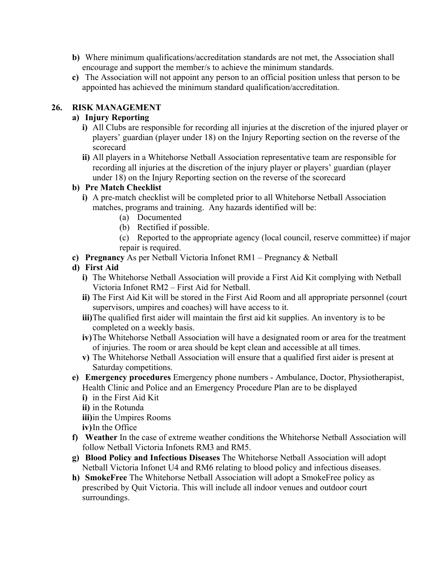- **b)** Where minimum qualifications/accreditation standards are not met, the Association shall encourage and support the member/s to achieve the minimum standards.
- **c)** The Association will not appoint any person to an official position unless that person to be appointed has achieved the minimum standard qualification/accreditation.

### **26. RISK MANAGEMENT**

### **a) Injury Reporting**

- **i)** All Clubs are responsible for recording all injuries at the discretion of the injured player or players' guardian (player under 18) on the Injury Reporting section on the reverse of the scorecard
- **ii)** All players in a Whitehorse Netball Association representative team are responsible for recording all injuries at the discretion of the injury player or players' guardian (player under 18) on the Injury Reporting section on the reverse of the scorecard

### **b) Pre Match Checklist**

- **i)** A pre-match checklist will be completed prior to all Whitehorse Netball Association matches, programs and training. Any hazards identified will be:
	- (a) Documented
	- (b) Rectified if possible.
	- (c) Reported to the appropriate agency (local council, reserve committee) if major repair is required.
- **c) Pregnancy** As per Netball Victoria Infonet RM1 Pregnancy & Netball
- **d) First Aid**
	- **i)** The Whitehorse Netball Association will provide a First Aid Kit complying with Netball Victoria Infonet RM2 – First Aid for Netball.
	- **ii)** The First Aid Kit will be stored in the First Aid Room and all appropriate personnel (court supervisors, umpires and coaches) will have access to it.
	- **iii)**The qualified first aider will maintain the first aid kit supplies. An inventory is to be completed on a weekly basis.
	- **iv)**The Whitehorse Netball Association will have a designated room or area for the treatment of injuries. The room or area should be kept clean and accessible at all times.
	- **v)** The Whitehorse Netball Association will ensure that a qualified first aider is present at Saturday competitions.
- **e) Emergency procedures** Emergency phone numbers Ambulance, Doctor, Physiotherapist, Health Clinic and Police and an Emergency Procedure Plan are to be displayed
	- **i)** in the First Aid Kit
	- **ii)** in the Rotunda
	- **iii)**in the Umpires Rooms
	- **iv)**In the Office
- **f) Weather** In the case of extreme weather conditions the Whitehorse Netball Association will follow Netball Victoria Infonets RM3 and RM5.
- **g) Blood Policy and Infectious Diseases** The Whitehorse Netball Association will adopt Netball Victoria Infonet U4 and RM6 relating to blood policy and infectious diseases.
- **h) SmokeFree** The Whitehorse Netball Association will adopt a SmokeFree policy as prescribed by Quit Victoria. This will include all indoor venues and outdoor court surroundings.